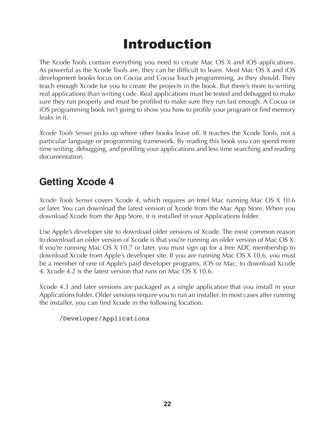# Introduction

The Xcode Tools contain everything you need to create Mac OS X and iOS applications. As powerful as the Xcode Tools are, they can be difficult to learn. Most Mac OS X and iOS development books focus on Cocoa and Cocoa Touch programming, as they should. They teach enough Xcode for you to create the projects in the book. But there's more to writing real applications than writing code. Real applications must be tested and debugged to make sure they run properly and must be profiled to make sure they run fast enough. A Cocoa or iOS programming book isn't going to show you how to profile your program or find memory leaks in it.

*Xcode Tools Sensei* picks up where other books leave off. It teaches the Xcode Tools, not a particular language or programming framework. By reading this book you can spend more time writing, debugging, and profiling your applications and less time searching and reading documentation.

# **Getting Xcode 4**

*Xcode Tools Sensei* covers Xcode 4, which requires an Intel Mac running Mac OS X 10.6 or later. You can download the latest version of Xcode from the Mac App Store. When you download Xcode from the App Store, it is installed in your Applications folder.

Use Apple's developer site to download older versions of Xcode. The most common reason to download an older version of Xcode is that you're running an older version of Mac OS X. If you're running Mac OS X 10.7 or later, you must sign up for a free ADC membership to download Xcode from Apple's developer site. If you are running Mac OS X 10.6, you must be a member of one of Apple's paid developer programs, iOS or Mac, to download Xcode 4. Xcode 4.2 is the latest version that runs on Mac OS X 10.6.

Xcode 4.3 and later versions are packaged as a single application that you install in your Applications folder. Older versions require you to run an installer. In most cases after running the installer, you can find Xcode in the following location:

/Developer/Applications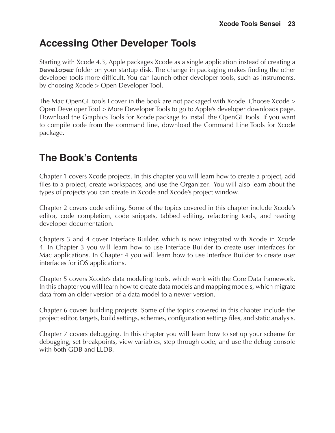# **Accessing Other Developer Tools**

Starting with Xcode 4.3, Apple packages Xcode as a single application instead of creating a Developer folder on your startup disk. The change in packaging makes finding the other developer tools more difficult. You can launch other developer tools, such as Instruments, by choosing Xcode > Open Developer Tool.

The Mac OpenGL tools I cover in the book are not packaged with Xcode. Choose Xcode > Open Developer Tool > More Developer Tools to go to Apple's developer downloads page. Download the Graphics Tools for Xcode package to install the OpenGL tools. If you want to compile code from the command line, download the Command Line Tools for Xcode package.

# **The Book's Contents**

Chapter 1 covers Xcode projects. In this chapter you will learn how to create a project, add files to a project, create workspaces, and use the Organizer. You will also learn about the types of projects you can create in Xcode and Xcode's project window.

Chapter 2 covers code editing. Some of the topics covered in this chapter include Xcode's editor, code completion, code snippets, tabbed editing, refactoring tools, and reading developer documentation.

Chapters 3 and 4 cover Interface Builder, which is now integrated with Xcode in Xcode 4. In Chapter 3 you will learn how to use Interface Builder to create user interfaces for Mac applications. In Chapter 4 you will learn how to use Interface Builder to create user interfaces for iOS applications.

Chapter 5 covers Xcode's data modeling tools, which work with the Core Data framework. In this chapter you will learn how to create data models and mapping models, which migrate data from an older version of a data model to a newer version.

Chapter 6 covers building projects. Some of the topics covered in this chapter include the project editor, targets, build settings, schemes, configuration settings files, and static analysis.

Chapter 7 covers debugging. In this chapter you will learn how to set up your scheme for debugging, set breakpoints, view variables, step through code, and use the debug console with both GDB and LLDB.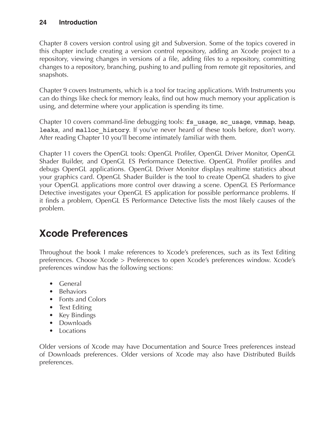#### **24 Introduction**

Chapter 8 covers version control using git and Subversion. Some of the topics covered in this chapter include creating a version control repository, adding an Xcode project to a repository, viewing changes in versions of a file, adding files to a repository, committing changes to a repository, branching, pushing to and pulling from remote git repositories, and snapshots.

Chapter 9 covers Instruments, which is a tool for tracing applications. With Instruments you can do things like check for memory leaks, find out how much memory your application is using, and determine where your application is spending its time.

Chapter 10 covers command-line debugging tools: fs\_usage, sc\_usage, vmmap, heap, leaks, and malloc\_history. If you've never heard of these tools before, don't worry. After reading Chapter 10 you'll become intimately familiar with them.

Chapter 11 covers the OpenGL tools: OpenGL Profiler, OpenGL Driver Monitor, OpenGL Shader Builder, and OpenGL ES Performance Detective. OpenGL Profiler profiles and debugs OpenGL applications. OpenGL Driver Monitor displays realtime statistics about your graphics card. OpenGL Shader Builder is the tool to create OpenGL shaders to give your OpenGL applications more control over drawing a scene. OpenGL ES Performance Detective investigates your OpenGL ES application for possible performance problems. If it finds a problem, OpenGL ES Performance Detective lists the most likely causes of the problem.

# **Xcode Preferences**

Throughout the book I make references to Xcode's preferences, such as its Text Editing preferences. Choose Xcode > Preferences to open Xcode's preferences window. Xcode's preferences window has the following sections:

- General
- Behaviors
- Fonts and Colors
- Text Editing
- Key Bindings
- Downloads
- Locations

Older versions of Xcode may have Documentation and Source Trees preferences instead of Downloads preferences. Older versions of Xcode may also have Distributed Builds preferences.